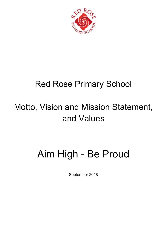

## Red Rose Primary School

## Motto, Vision and Mission Statement, and Values

## Aim High - Be Proud

September 2018